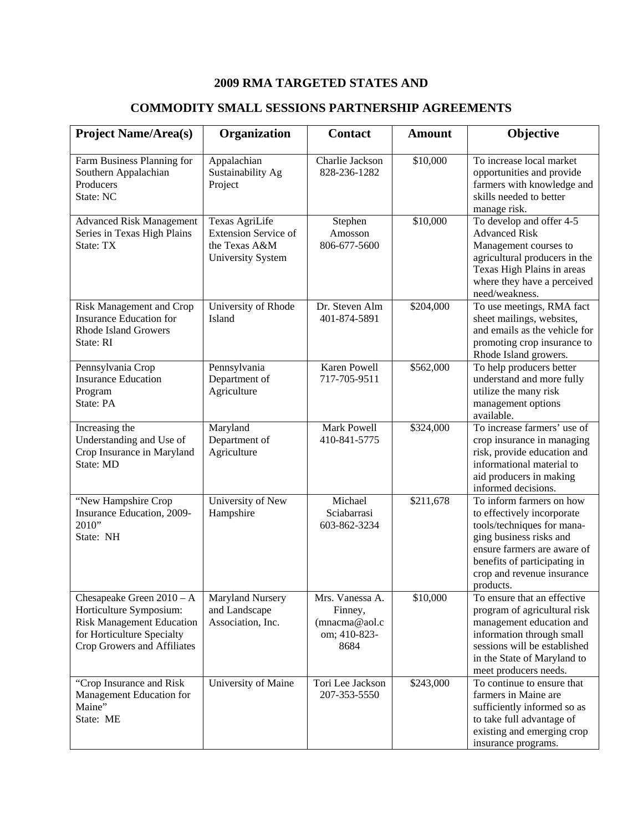## **2009 RMA TARGETED STATES AND**

| <b>Project Name/Area(s)</b>                                                                                                                             | Organization                                                                               | <b>Contact</b>                                                       | <b>Amount</b> | Objective                                                                                                                                                                                                                 |
|---------------------------------------------------------------------------------------------------------------------------------------------------------|--------------------------------------------------------------------------------------------|----------------------------------------------------------------------|---------------|---------------------------------------------------------------------------------------------------------------------------------------------------------------------------------------------------------------------------|
| Farm Business Planning for<br>Southern Appalachian<br>Producers<br>State: NC                                                                            | Appalachian<br>Sustainability Ag<br>Project                                                | Charlie Jackson<br>828-236-1282                                      | \$10,000      | To increase local market<br>opportunities and provide<br>farmers with knowledge and<br>skills needed to better<br>manage risk.                                                                                            |
| <b>Advanced Risk Management</b><br>Series in Texas High Plains<br>State: TX                                                                             | Texas AgriLife<br><b>Extension Service of</b><br>the Texas A&M<br><b>University System</b> | Stephen<br>Amosson<br>806-677-5600                                   | \$10,000      | To develop and offer 4-5<br><b>Advanced Risk</b><br>Management courses to<br>agricultural producers in the<br>Texas High Plains in areas<br>where they have a perceived<br>need/weakness.                                 |
| Risk Management and Crop<br><b>Insurance Education for</b><br><b>Rhode Island Growers</b><br>State: RI                                                  | University of Rhode<br>Island                                                              | Dr. Steven Alm<br>401-874-5891                                       | \$204,000     | To use meetings, RMA fact<br>sheet mailings, websites,<br>and emails as the vehicle for<br>promoting crop insurance to<br>Rhode Island growers.                                                                           |
| Pennsylvania Crop<br><b>Insurance Education</b><br>Program<br>State: PA                                                                                 | Pennsylvania<br>Department of<br>Agriculture                                               | <b>Karen Powell</b><br>717-705-9511                                  | \$562,000     | To help producers better<br>understand and more fully<br>utilize the many risk<br>management options<br>available.                                                                                                        |
| Increasing the<br>Understanding and Use of<br>Crop Insurance in Maryland<br>State: MD                                                                   | Maryland<br>Department of<br>Agriculture                                                   | Mark Powell<br>410-841-5775                                          | \$324,000     | To increase farmers' use of<br>crop insurance in managing<br>risk, provide education and<br>informational material to<br>aid producers in making<br>informed decisions.                                                   |
| "New Hampshire Crop<br>Insurance Education, 2009-<br>2010"<br>State: NH                                                                                 | University of New<br>Hampshire                                                             | Michael<br>Sciabarrasi<br>603-862-3234                               | \$211,678     | To inform farmers on how<br>to effectively incorporate<br>tools/techniques for mana-<br>ging business risks and<br>ensure farmers are aware of<br>benefits of participating in<br>crop and revenue insurance<br>products. |
| Chesapeake Green $2010 - A$<br>Horticulture Symposium:<br><b>Risk Management Education</b><br>for Horticulture Specialty<br>Crop Growers and Affiliates | Maryland Nursery<br>and Landscape<br>Association, Inc.                                     | Mrs. Vanessa A.<br>Finney,<br>(mnacma@aol.c)<br>om; 410-823-<br>8684 | \$10,000      | To ensure that an effective<br>program of agricultural risk<br>management education and<br>information through small<br>sessions will be established<br>in the State of Maryland to<br>meet producers needs.              |
| "Crop Insurance and Risk"<br>Management Education for<br>Maine"<br>State: ME                                                                            | University of Maine                                                                        | Tori Lee Jackson<br>207-353-5550                                     | \$243,000     | To continue to ensure that<br>farmers in Maine are<br>sufficiently informed so as<br>to take full advantage of<br>existing and emerging crop<br>insurance programs.                                                       |

## **COMMODITY SMALL SESSIONS PARTNERSHIP AGREEMENTS**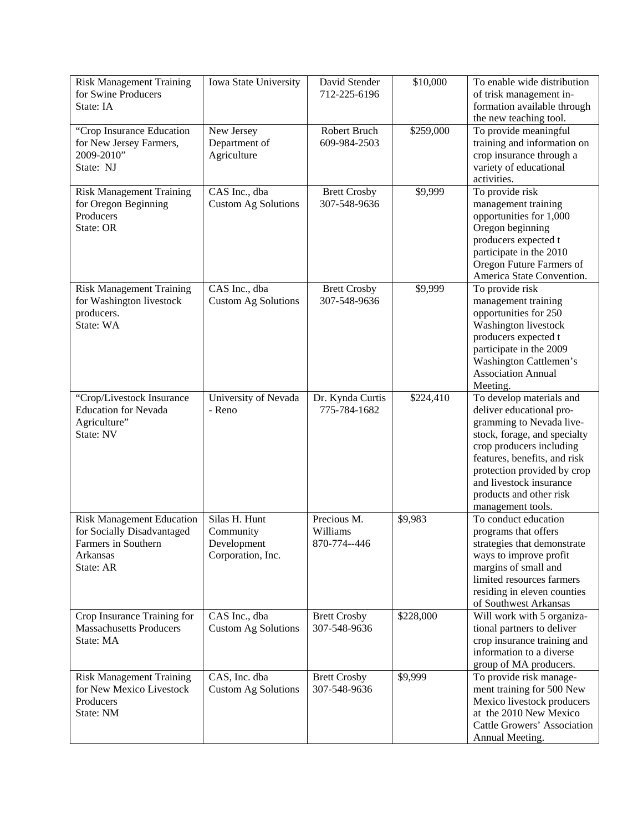| <b>Risk Management Training</b><br>for Swine Producers<br>State: IA                                            | Iowa State University                                          | David Stender<br>712-225-6196           | \$10,000  | To enable wide distribution<br>of trisk management in-<br>formation available through<br>the new teaching tool.                                                                                                                                                                        |
|----------------------------------------------------------------------------------------------------------------|----------------------------------------------------------------|-----------------------------------------|-----------|----------------------------------------------------------------------------------------------------------------------------------------------------------------------------------------------------------------------------------------------------------------------------------------|
| "Crop Insurance Education<br>for New Jersey Farmers,<br>2009-2010"<br>State: NJ                                | New Jersey<br>Department of<br>Agriculture                     | Robert Bruch<br>609-984-2503            | \$259,000 | To provide meaningful<br>training and information on<br>crop insurance through a<br>variety of educational<br>activities.                                                                                                                                                              |
| <b>Risk Management Training</b><br>for Oregon Beginning<br>Producers<br>State: OR                              | CAS Inc., dba<br><b>Custom Ag Solutions</b>                    | <b>Brett Crosby</b><br>307-548-9636     | \$9,999   | To provide risk<br>management training<br>opportunities for 1,000<br>Oregon beginning<br>producers expected t<br>participate in the 2010<br>Oregon Future Farmers of<br>America State Convention.                                                                                      |
| <b>Risk Management Training</b><br>for Washington livestock<br>producers.<br>State: WA                         | CAS Inc., dba<br><b>Custom Ag Solutions</b>                    | <b>Brett Crosby</b><br>307-548-9636     | \$9,999   | To provide risk<br>management training<br>opportunities for 250<br>Washington livestock<br>producers expected t<br>participate in the 2009<br>Washington Cattlemen's<br><b>Association Annual</b><br>Meeting.                                                                          |
| "Crop/Livestock Insurance<br><b>Education for Nevada</b><br>Agriculture"<br>State: NV                          | University of Nevada<br>- Reno                                 | Dr. Kynda Curtis<br>775-784-1682        | \$224,410 | To develop materials and<br>deliver educational pro-<br>gramming to Nevada live-<br>stock, forage, and specialty<br>crop producers including<br>features, benefits, and risk<br>protection provided by crop<br>and livestock insurance<br>products and other risk<br>management tools. |
| <b>Risk Management Education</b><br>for Socially Disadvantaged<br>Farmers in Southern<br>Arkansas<br>State: AR | Silas H. Hunt<br>Community<br>Development<br>Corporation, Inc. | Precious M.<br>Williams<br>870-774--446 | \$9,983   | To conduct education<br>programs that offers<br>strategies that demonstrate<br>ways to improve profit<br>margins of small and<br>limited resources farmers<br>residing in eleven counties<br>of Southwest Arkansas                                                                     |
| Crop Insurance Training for<br><b>Massachusetts Producers</b><br>State: MA                                     | CAS Inc., dba<br><b>Custom Ag Solutions</b>                    | <b>Brett Crosby</b><br>307-548-9636     | \$228,000 | Will work with 5 organiza-<br>tional partners to deliver<br>crop insurance training and<br>information to a diverse<br>group of MA producers.                                                                                                                                          |
| <b>Risk Management Training</b><br>for New Mexico Livestock<br>Producers<br>State: NM                          | CAS, Inc. dba<br><b>Custom Ag Solutions</b>                    | <b>Brett Crosby</b><br>307-548-9636     | \$9,999   | To provide risk manage-<br>ment training for 500 New<br>Mexico livestock producers<br>at the 2010 New Mexico<br>Cattle Growers' Association<br>Annual Meeting.                                                                                                                         |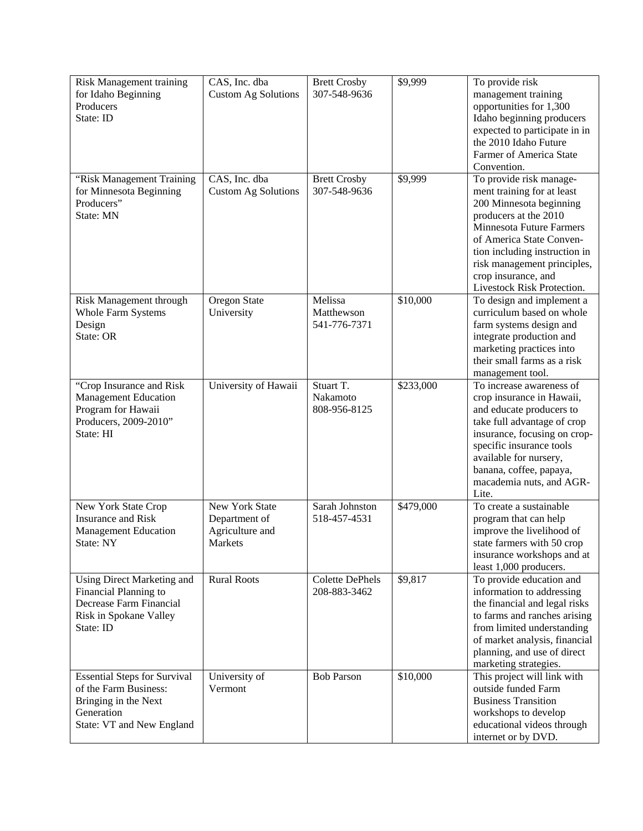| <b>Risk Management training</b>     | CAS, Inc. dba              | <b>Brett Crosby</b>    | \$9,999   | To provide risk                 |
|-------------------------------------|----------------------------|------------------------|-----------|---------------------------------|
| for Idaho Beginning                 | <b>Custom Ag Solutions</b> | 307-548-9636           |           | management training             |
| Producers                           |                            |                        |           | opportunities for 1,300         |
| State: ID                           |                            |                        |           | Idaho beginning producers       |
|                                     |                            |                        |           | expected to participate in in   |
|                                     |                            |                        |           | the 2010 Idaho Future           |
|                                     |                            |                        |           | Farmer of America State         |
|                                     |                            |                        |           | Convention.                     |
|                                     | CAS, Inc. dba              |                        | \$9,999   |                                 |
| "Risk Management Training           |                            | <b>Brett Crosby</b>    |           | To provide risk manage-         |
| for Minnesota Beginning             | <b>Custom Ag Solutions</b> | 307-548-9636           |           | ment training for at least      |
| Producers"                          |                            |                        |           | 200 Minnesota beginning         |
| State: MN                           |                            |                        |           | producers at the 2010           |
|                                     |                            |                        |           | <b>Minnesota Future Farmers</b> |
|                                     |                            |                        |           | of America State Conven-        |
|                                     |                            |                        |           | tion including instruction in   |
|                                     |                            |                        |           | risk management principles,     |
|                                     |                            |                        |           | crop insurance, and             |
|                                     |                            |                        |           | Livestock Risk Protection.      |
| Risk Management through             | Oregon State               | Melissa                | \$10,000  | To design and implement a       |
| <b>Whole Farm Systems</b>           | University                 | Matthewson             |           | curriculum based on whole       |
| Design                              |                            | 541-776-7371           |           | farm systems design and         |
| State: OR                           |                            |                        |           | integrate production and        |
|                                     |                            |                        |           | marketing practices into        |
|                                     |                            |                        |           | their small farms as a risk     |
|                                     |                            |                        |           | management tool.                |
| "Crop Insurance and Risk            | University of Hawaii       | Stuart T.              | \$233,000 | To increase awareness of        |
| <b>Management Education</b>         |                            | Nakamoto               |           | crop insurance in Hawaii,       |
| Program for Hawaii                  |                            | 808-956-8125           |           | and educate producers to        |
| Producers, 2009-2010"               |                            |                        |           | take full advantage of crop     |
| State: HI                           |                            |                        |           | insurance, focusing on crop-    |
|                                     |                            |                        |           | specific insurance tools        |
|                                     |                            |                        |           | available for nursery,          |
|                                     |                            |                        |           | banana, coffee, papaya,         |
|                                     |                            |                        |           | macademia nuts, and AGR-        |
|                                     |                            |                        |           | Lite.                           |
| New York State Crop                 | New York State             | Sarah Johnston         | \$479,000 | To create a sustainable         |
| <b>Insurance and Risk</b>           | Department of              | 518-457-4531           |           | program that can help           |
|                                     |                            |                        |           | improve the livelihood of       |
| <b>Management Education</b>         | Agriculture and            |                        |           |                                 |
| State: NY                           | Markets                    |                        |           | state farmers with 50 crop      |
|                                     |                            |                        |           | insurance workshops and at      |
|                                     |                            |                        |           | least 1,000 producers.          |
| Using Direct Marketing and          | <b>Rural Roots</b>         | <b>Colette DePhels</b> | \$9,817   | To provide education and        |
| Financial Planning to               |                            | 208-883-3462           |           | information to addressing       |
| Decrease Farm Financial             |                            |                        |           | the financial and legal risks   |
| Risk in Spokane Valley              |                            |                        |           | to farms and ranches arising    |
| State: ID                           |                            |                        |           | from limited understanding      |
|                                     |                            |                        |           | of market analysis, financial   |
|                                     |                            |                        |           | planning, and use of direct     |
|                                     |                            |                        |           | marketing strategies.           |
| <b>Essential Steps for Survival</b> | University of              | <b>Bob Parson</b>      | \$10,000  | This project will link with     |
| of the Farm Business:               | Vermont                    |                        |           | outside funded Farm             |
| Bringing in the Next                |                            |                        |           | <b>Business Transition</b>      |
| Generation                          |                            |                        |           | workshops to develop            |
| State: VT and New England           |                            |                        |           | educational videos through      |
|                                     |                            |                        |           | internet or by DVD.             |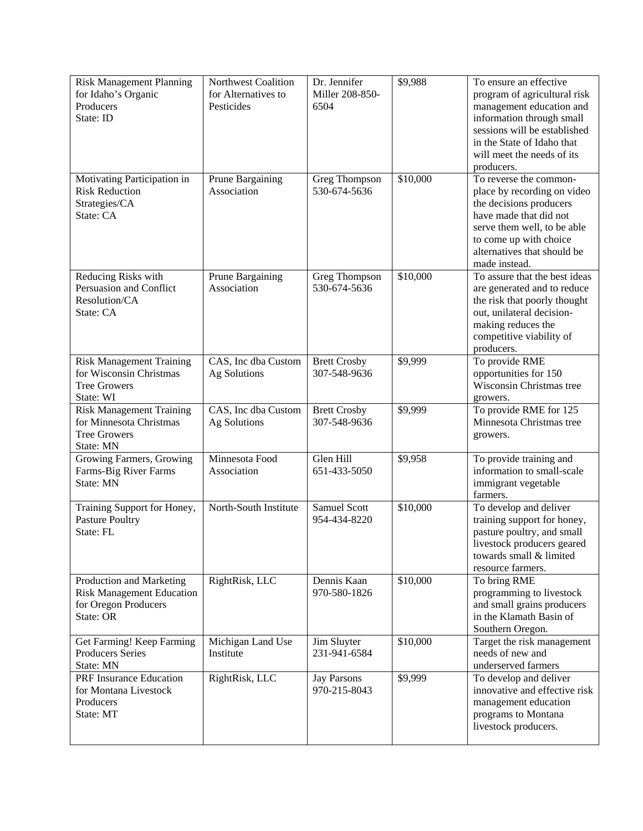| <b>Risk Management Planning</b><br>for Idaho's Organic<br>Producers<br>State: ID                  | Northwest Coalition<br>for Alternatives to<br>Pesticides | Dr. Jennifer<br>Miller 208-850-<br>6504 | \$9,988  | To ensure an effective<br>program of agricultural risk<br>management education and<br>information through small<br>sessions will be established<br>in the State of Idaho that<br>will meet the needs of its<br>producers. |
|---------------------------------------------------------------------------------------------------|----------------------------------------------------------|-----------------------------------------|----------|---------------------------------------------------------------------------------------------------------------------------------------------------------------------------------------------------------------------------|
| Motivating Participation in<br><b>Risk Reduction</b><br>Strategies/CA<br>State: CA                | Prune Bargaining<br>Association                          | Greg Thompson<br>530-674-5636           | \$10,000 | To reverse the common-<br>place by recording on video<br>the decisions producers<br>have made that did not<br>serve them well, to be able<br>to come up with choice<br>alternatives that should be<br>made instead.       |
| Reducing Risks with<br>Persuasion and Conflict<br>Resolution/CA<br>State: CA                      | Prune Bargaining<br>Association                          | Greg Thompson<br>530-674-5636           | \$10,000 | To assure that the best ideas<br>are generated and to reduce<br>the risk that poorly thought<br>out, unilateral decision-<br>making reduces the<br>competitive viability of<br>producers.                                 |
| <b>Risk Management Training</b><br>for Wisconsin Christmas<br><b>Tree Growers</b><br>State: WI    | CAS, Inc dba Custom<br>Ag Solutions                      | <b>Brett Crosby</b><br>307-548-9636     | \$9,999  | To provide RME<br>opportunities for 150<br>Wisconsin Christmas tree<br>growers.                                                                                                                                           |
| <b>Risk Management Training</b><br>for Minnesota Christmas<br><b>Tree Growers</b><br>State: MN    | CAS, Inc dba Custom<br>Ag Solutions                      | <b>Brett Crosby</b><br>307-548-9636     | \$9,999  | To provide RME for 125<br>Minnesota Christmas tree<br>growers.                                                                                                                                                            |
| Growing Farmers, Growing<br>Farms-Big River Farms<br>State: MN                                    | Minnesota Food<br>Association                            | Glen Hill<br>651-433-5050               | \$9,958  | To provide training and<br>information to small-scale<br>immigrant vegetable<br>farmers.                                                                                                                                  |
| Training Support for Honey,<br><b>Pasture Poultry</b><br>State: FL                                | North-South Institute                                    | <b>Samuel Scott</b><br>954-434-8220     | \$10,000 | To develop and deliver<br>training support for honey,<br>pasture poultry, and small<br>livestock producers geared<br>towards small & limited<br>resource farmers.                                                         |
| Production and Marketing<br><b>Risk Management Education</b><br>for Oregon Producers<br>State: OR | RightRisk, LLC                                           | Dennis Kaan<br>970-580-1826             | \$10,000 | To bring RME<br>programming to livestock<br>and small grains producers<br>in the Klamath Basin of<br>Southern Oregon.                                                                                                     |
| Get Farming! Keep Farming<br><b>Producers Series</b><br>State: MN                                 | Michigan Land Use<br>Institute                           | Jim Sluyter<br>231-941-6584             | \$10,000 | Target the risk management<br>needs of new and<br>underserved farmers                                                                                                                                                     |
| PRF Insurance Education<br>for Montana Livestock<br>Producers<br>State: MT                        | RightRisk, LLC                                           | <b>Jay Parsons</b><br>970-215-8043      | \$9,999  | To develop and deliver<br>innovative and effective risk<br>management education<br>programs to Montana<br>livestock producers.                                                                                            |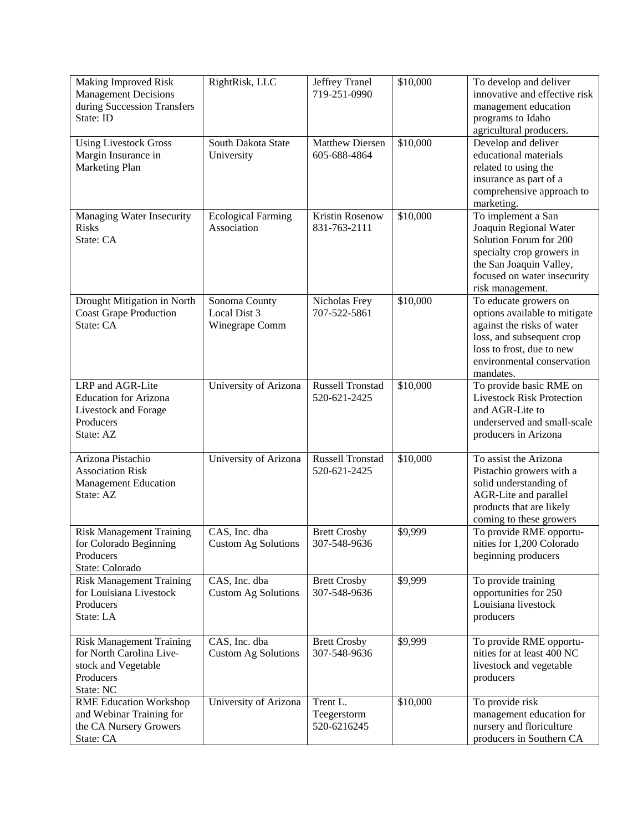| Making Improved Risk<br><b>Management Decisions</b><br>during Succession Transfers<br>State: ID              | RightRisk, LLC                                  | Jeffrey Tranel<br>719-251-0990          | \$10,000 | To develop and deliver<br>innovative and effective risk<br>management education<br>programs to Idaho<br>agricultural producers.                                                           |
|--------------------------------------------------------------------------------------------------------------|-------------------------------------------------|-----------------------------------------|----------|-------------------------------------------------------------------------------------------------------------------------------------------------------------------------------------------|
| <b>Using Livestock Gross</b><br>Margin Insurance in<br>Marketing Plan                                        | South Dakota State<br>University                | <b>Matthew Diersen</b><br>605-688-4864  | \$10,000 | Develop and deliver<br>educational materials<br>related to using the<br>insurance as part of a<br>comprehensive approach to<br>marketing.                                                 |
| Managing Water Insecurity<br><b>Risks</b><br>State: CA                                                       | <b>Ecological Farming</b><br>Association        | <b>Kristin Rosenow</b><br>831-763-2111  | \$10,000 | To implement a San<br>Joaquin Regional Water<br>Solution Forum for 200<br>specialty crop growers in<br>the San Joaquin Valley,<br>focused on water insecurity<br>risk management.         |
| Drought Mitigation in North<br><b>Coast Grape Production</b><br>State: CA                                    | Sonoma County<br>Local Dist 3<br>Winegrape Comm | Nicholas Frey<br>707-522-5861           | \$10,000 | To educate growers on<br>options available to mitigate<br>against the risks of water<br>loss, and subsequent crop<br>loss to frost, due to new<br>environmental conservation<br>mandates. |
| LRP and AGR-Lite<br><b>Education for Arizona</b><br>Livestock and Forage<br>Producers<br>State: AZ           | University of Arizona                           | <b>Russell Tronstad</b><br>520-621-2425 | \$10,000 | To provide basic RME on<br><b>Livestock Risk Protection</b><br>and AGR-Lite to<br>underserved and small-scale<br>producers in Arizona                                                     |
| Arizona Pistachio<br><b>Association Risk</b><br><b>Management Education</b><br>State: AZ                     | University of Arizona                           | <b>Russell Tronstad</b><br>520-621-2425 | \$10,000 | To assist the Arizona<br>Pistachio growers with a<br>solid understanding of<br>AGR-Lite and parallel<br>products that are likely<br>coming to these growers                               |
| <b>Risk Management Training</b><br>for Colorado Beginning<br>Producers<br>State: Colorado                    | CAS, Inc. dba<br>Custom Ag Solutions            | <b>Brett Crosby</b><br>307-548-9636     | \$9,999  | To provide RME opportu-<br>nities for 1.200 Colorado<br>beginning producers                                                                                                               |
| <b>Risk Management Training</b><br>for Louisiana Livestock<br>Producers<br>State: LA                         | CAS, Inc. dba<br><b>Custom Ag Solutions</b>     | <b>Brett Crosby</b><br>307-548-9636     | \$9,999  | To provide training<br>opportunities for 250<br>Louisiana livestock<br>producers                                                                                                          |
| <b>Risk Management Training</b><br>for North Carolina Live-<br>stock and Vegetable<br>Producers<br>State: NC | CAS, Inc. dba<br><b>Custom Ag Solutions</b>     | <b>Brett Crosby</b><br>307-548-9636     | \$9,999  | To provide RME opportu-<br>nities for at least 400 NC<br>livestock and vegetable<br>producers                                                                                             |
| <b>RME Education Workshop</b><br>and Webinar Training for<br>the CA Nursery Growers<br>State: CA             | University of Arizona                           | Trent L.<br>Teegerstorm<br>520-6216245  | \$10,000 | To provide risk<br>management education for<br>nursery and floriculture<br>producers in Southern CA                                                                                       |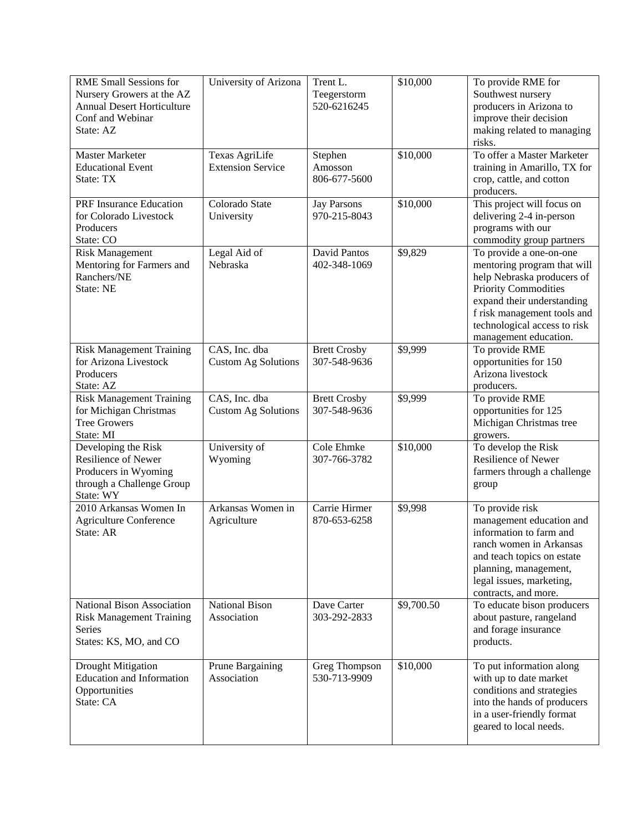| <b>RME Small Sessions for</b><br>Nursery Growers at the AZ<br><b>Annual Desert Horticulture</b><br>Conf and Webinar<br>State: AZ | University of Arizona                       | Trent L.<br>Teegerstorm<br>520-6216245 | \$10,000   | To provide RME for<br>Southwest nursery<br>producers in Arizona to<br>improve their decision<br>making related to managing<br>risks.                                                                                                      |
|----------------------------------------------------------------------------------------------------------------------------------|---------------------------------------------|----------------------------------------|------------|-------------------------------------------------------------------------------------------------------------------------------------------------------------------------------------------------------------------------------------------|
| <b>Master Marketer</b><br><b>Educational Event</b><br>State: TX                                                                  | Texas AgriLife<br><b>Extension Service</b>  | Stephen<br>Amosson<br>806-677-5600     | \$10,000   | To offer a Master Marketer<br>training in Amarillo, TX for<br>crop, cattle, and cotton<br>producers.                                                                                                                                      |
| PRF Insurance Education<br>for Colorado Livestock<br>Producers<br>State: CO                                                      | Colorado State<br>University                | <b>Jay Parsons</b><br>970-215-8043     | \$10,000   | This project will focus on<br>delivering 2-4 in-person<br>programs with our<br>commodity group partners                                                                                                                                   |
| <b>Risk Management</b><br>Mentoring for Farmers and<br>Ranchers/NE<br>State: NE                                                  | Legal Aid of<br>Nebraska                    | David Pantos<br>402-348-1069           | \$9,829    | To provide a one-on-one<br>mentoring program that will<br>help Nebraska producers of<br><b>Priority Commodities</b><br>expand their understanding<br>f risk management tools and<br>technological access to risk<br>management education. |
| <b>Risk Management Training</b><br>for Arizona Livestock<br>Producers<br>State: AZ                                               | CAS, Inc. dba<br><b>Custom Ag Solutions</b> | <b>Brett Crosby</b><br>307-548-9636    | \$9,999    | To provide RME<br>opportunities for 150<br>Arizona livestock<br>producers.                                                                                                                                                                |
| <b>Risk Management Training</b><br>for Michigan Christmas<br><b>Tree Growers</b><br>State: MI                                    | CAS, Inc. dba<br><b>Custom Ag Solutions</b> | <b>Brett Crosby</b><br>307-548-9636    | \$9,999    | To provide RME<br>opportunities for 125<br>Michigan Christmas tree<br>growers.                                                                                                                                                            |
| Developing the Risk<br>Resilience of Newer<br>Producers in Wyoming<br>through a Challenge Group<br>State: WY                     | University of<br>Wyoming                    | Cole Ehmke<br>307-766-3782             | \$10,000   | To develop the Risk<br>Resilience of Newer<br>farmers through a challenge<br>group                                                                                                                                                        |
| 2010 Arkansas Women In<br><b>Agriculture Conference</b><br>State: AR                                                             | Arkansas Women in<br>Agriculture            | Carrie Hirmer<br>870-653-6258          | \$9,998    | To provide risk<br>management education and<br>information to farm and<br>ranch women in Arkansas<br>and teach topics on estate<br>planning, management,<br>legal issues, marketing,<br>contracts, and more.                              |
| National Bison Association<br><b>Risk Management Training</b><br>Series<br>States: KS, MO, and CO                                | <b>National Bison</b><br>Association        | Dave Carter<br>303-292-2833            | \$9,700.50 | To educate bison producers<br>about pasture, rangeland<br>and forage insurance<br>products.                                                                                                                                               |
| Drought Mitigation<br><b>Education and Information</b><br>Opportunities<br>State: CA                                             | Prune Bargaining<br>Association             | Greg Thompson<br>530-713-9909          | \$10,000   | To put information along<br>with up to date market<br>conditions and strategies<br>into the hands of producers<br>in a user-friendly format<br>geared to local needs.                                                                     |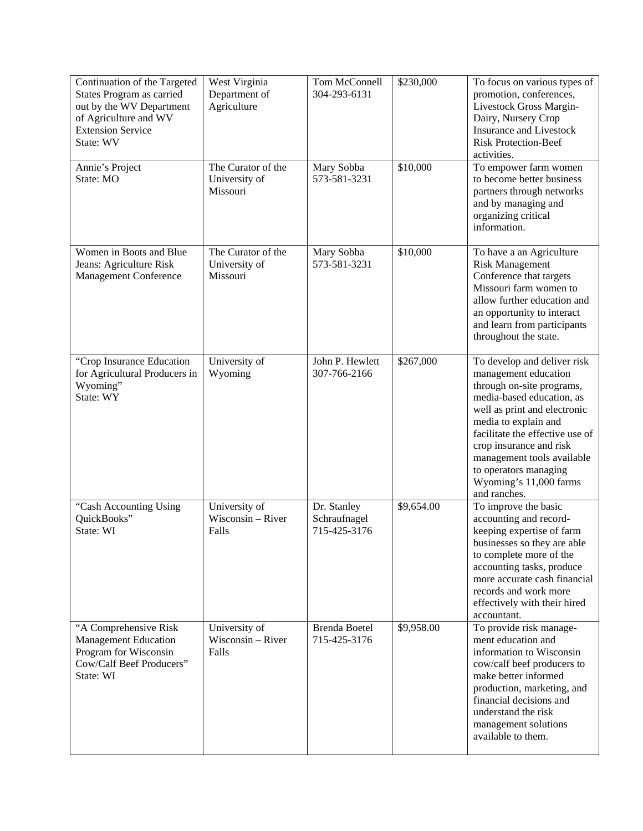| Continuation of the Targeted<br>States Program as carried<br>out by the WV Department<br>of Agriculture and WV<br><b>Extension Service</b><br>State: WV | West Virginia<br>Department of<br>Agriculture   | Tom McConnell<br>304-293-6131               | \$230,000  | To focus on various types of<br>promotion, conferences,<br>Livestock Gross Margin-<br>Dairy, Nursery Crop<br><b>Insurance and Livestock</b><br><b>Risk Protection-Beef</b><br>activities.                                                                                                                                            |
|---------------------------------------------------------------------------------------------------------------------------------------------------------|-------------------------------------------------|---------------------------------------------|------------|--------------------------------------------------------------------------------------------------------------------------------------------------------------------------------------------------------------------------------------------------------------------------------------------------------------------------------------|
| Annie's Project<br>State: MO                                                                                                                            | The Curator of the<br>University of<br>Missouri | Mary Sobba<br>573-581-3231                  | \$10,000   | To empower farm women<br>to become better business<br>partners through networks<br>and by managing and<br>organizing critical<br>information.                                                                                                                                                                                        |
| Women in Boots and Blue<br>Jeans: Agriculture Risk<br><b>Management Conference</b>                                                                      | The Curator of the<br>University of<br>Missouri | Mary Sobba<br>573-581-3231                  | \$10,000   | To have a an Agriculture<br><b>Risk Management</b><br>Conference that targets<br>Missouri farm women to<br>allow further education and<br>an opportunity to interact<br>and learn from participants<br>throughout the state.                                                                                                         |
| "Crop Insurance Education<br>for Agricultural Producers in<br>Wyoming"<br>State: WY                                                                     | University of<br>Wyoming                        | John P. Hewlett<br>307-766-2166             | \$267,000  | To develop and deliver risk<br>management education<br>through on-site programs,<br>media-based education, as<br>well as print and electronic<br>media to explain and<br>facilitate the effective use of<br>crop insurance and risk<br>management tools available<br>to operators managing<br>Wyoming's 11,000 farms<br>and ranches. |
| "Cash Accounting Using<br>QuickBooks"<br>State: WI                                                                                                      | University of<br>Wisconsin - River<br>Falls     | Dr. Stanley<br>Schraufnagel<br>715-425-3176 | \$9,654.00 | To improve the basic<br>accounting and record-<br>keeping expertise of farm<br>businesses so they are able<br>to complete more of the<br>accounting tasks, produce<br>more accurate cash financial<br>records and work more<br>effectively with their hired<br>accountant.                                                           |
| "A Comprehensive Risk<br><b>Management Education</b><br>Program for Wisconsin<br>Cow/Calf Beef Producers"<br>State: WI                                  | University of<br>Wisconsin - River<br>Falls     | <b>Brenda Boetel</b><br>715-425-3176        | \$9,958.00 | To provide risk manage-<br>ment education and<br>information to Wisconsin<br>cow/calf beef producers to<br>make better informed<br>production, marketing, and<br>financial decisions and<br>understand the risk<br>management solutions<br>available to them.                                                                        |